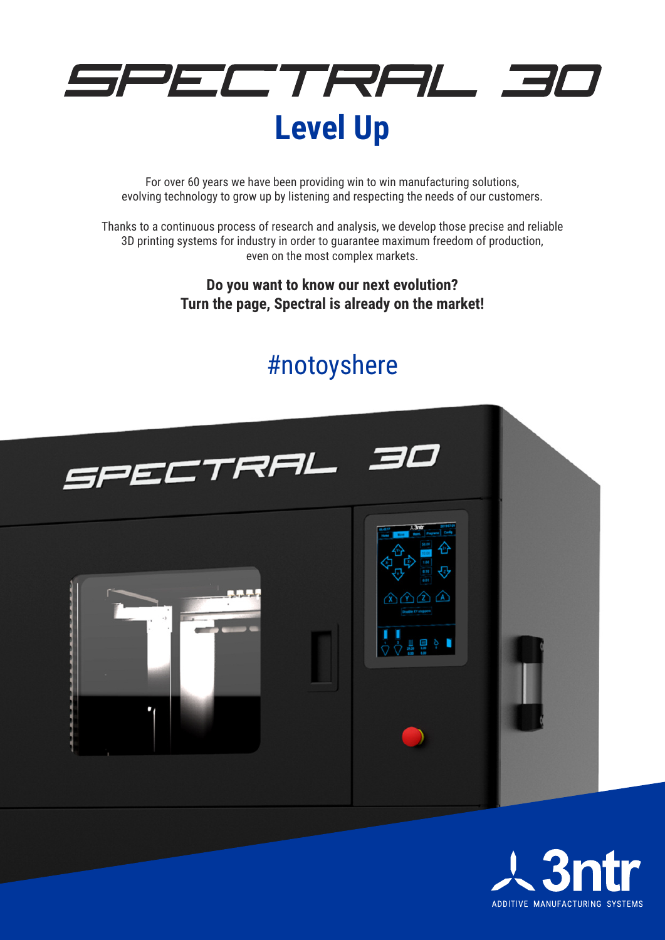

For over 60 years we have been providing win to win manufacturing solutions, evolving technology to grow up by listening and respecting the needs of our customers.

Thanks to a continuous process of research and analysis, we develop those precise and reliable 3D printing systems for industry in order to guarantee maximum freedom of production, even on the most complex markets.

> **Do you want to know our next evolution? Turn the page, Spectral is already on the market!**

# #notoyshere